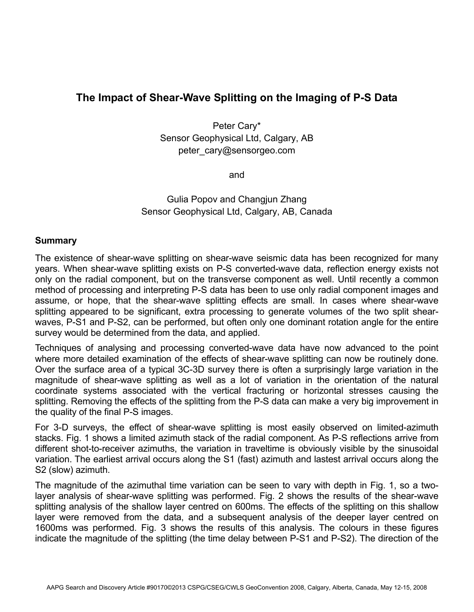## **The Impact of Shear-Wave Splitting on the Imaging of P-S Data**

Peter Cary\* Sensor Geophysical Ltd, Calgary, AB peter\_cary@sensorgeo.com

and

Gulia Popov and Changjun Zhang Sensor Geophysical Ltd, Calgary, AB, Canada

## **Summary**

The existence of shear-wave splitting on shear-wave seismic data has been recognized for many years. When shear-wave splitting exists on P-S converted-wave data, reflection energy exists not only on the radial component, but on the transverse component as well. Until recently a common method of processing and interpreting P-S data has been to use only radial component images and assume, or hope, that the shear-wave splitting effects are small. In cases where shear-wave splitting appeared to be significant, extra processing to generate volumes of the two split shearwaves, P-S1 and P-S2, can be performed, but often only one dominant rotation angle for the entire survey would be determined from the data, and applied.

Techniques of analysing and processing converted-wave data have now advanced to the point where more detailed examination of the effects of shear-wave splitting can now be routinely done. Over the surface area of a typical 3C-3D survey there is often a surprisingly large variation in the magnitude of shear-wave splitting as well as a lot of variation in the orientation of the natural coordinate systems associated with the vertical fracturing or horizontal stresses causing the splitting. Removing the effects of the splitting from the P-S data can make a very big improvement in the quality of the final P-S images.

For 3-D surveys, the effect of shear-wave splitting is most easily observed on limited-azimuth stacks. Fig. 1 shows a limited azimuth stack of the radial component. As P-S reflections arrive from different shot-to-receiver azimuths, the variation in traveltime is obviously visible by the sinusoidal variation. The earliest arrival occurs along the S1 (fast) azimuth and lastest arrival occurs along the S2 (slow) azimuth.

The magnitude of the azimuthal time variation can be seen to vary with depth in Fig. 1, so a twolayer analysis of shear-wave splitting was performed. Fig. 2 shows the results of the shear-wave splitting analysis of the shallow layer centred on 600ms. The effects of the splitting on this shallow layer were removed from the data, and a subsequent analysis of the deeper layer centred on 1600ms was performed. Fig. 3 shows the results of this analysis. The colours in these figures indicate the magnitude of the splitting (the time delay between P-S1 and P-S2). The direction of the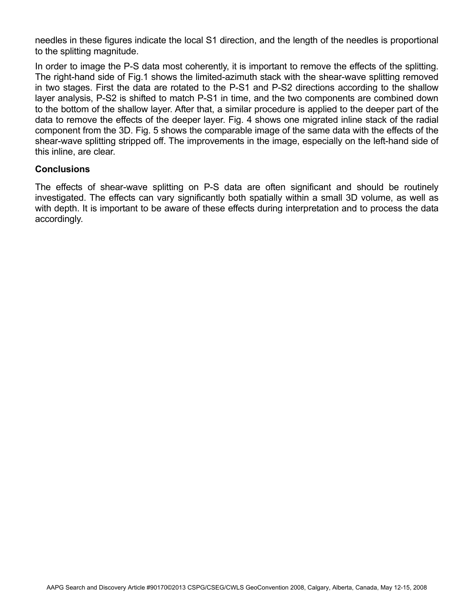needles in these figures indicate the local S1 direction, and the length of the needles is proportional to the splitting magnitude.

In order to image the P-S data most coherently, it is important to remove the effects of the splitting. The right-hand side of Fig.1 shows the limited-azimuth stack with the shear-wave splitting removed in two stages. First the data are rotated to the P-S1 and P-S2 directions according to the shallow layer analysis, P-S2 is shifted to match P-S1 in time, and the two components are combined down to the bottom of the shallow layer. After that, a similar procedure is applied to the deeper part of the data to remove the effects of the deeper layer. Fig. 4 shows one migrated inline stack of the radial component from the 3D. Fig. 5 shows the comparable image of the same data with the effects of the shear-wave splitting stripped off. The improvements in the image, especially on the left-hand side of this inline, are clear.

## **Conclusions**

The effects of shear-wave splitting on P-S data are often significant and should be routinely investigated. The effects can vary significantly both spatially within a small 3D volume, as well as with depth. It is important to be aware of these effects during interpretation and to process the data accordingly.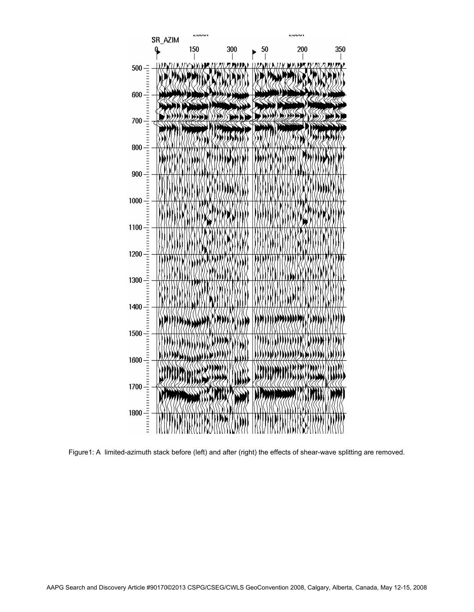

Figure1: A limited-azimuth stack before (left) and after (right) the effects of shear-wave splitting are removed.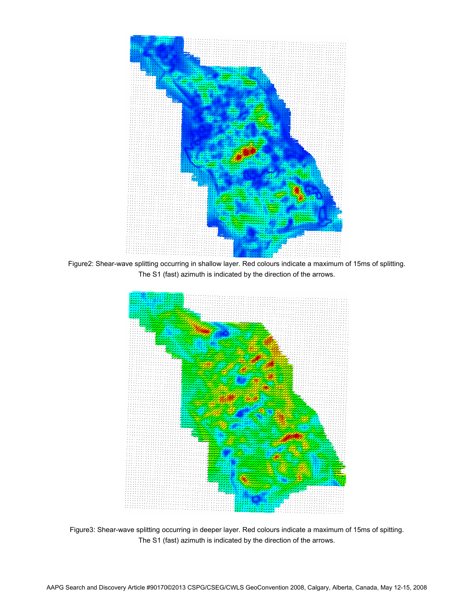

Figure2: Shear-wave splitting occurring in shallow layer. Red colours indicate a maximum of 15ms of splitting. The S1 (fast) azimuth is indicated by the direction of the arrows.



Figure3: Shear-wave splitting occurring in deeper layer. Red colours indicate a maximum of 15ms of spitting. The S1 (fast) azimuth is indicated by the direction of the arrows.